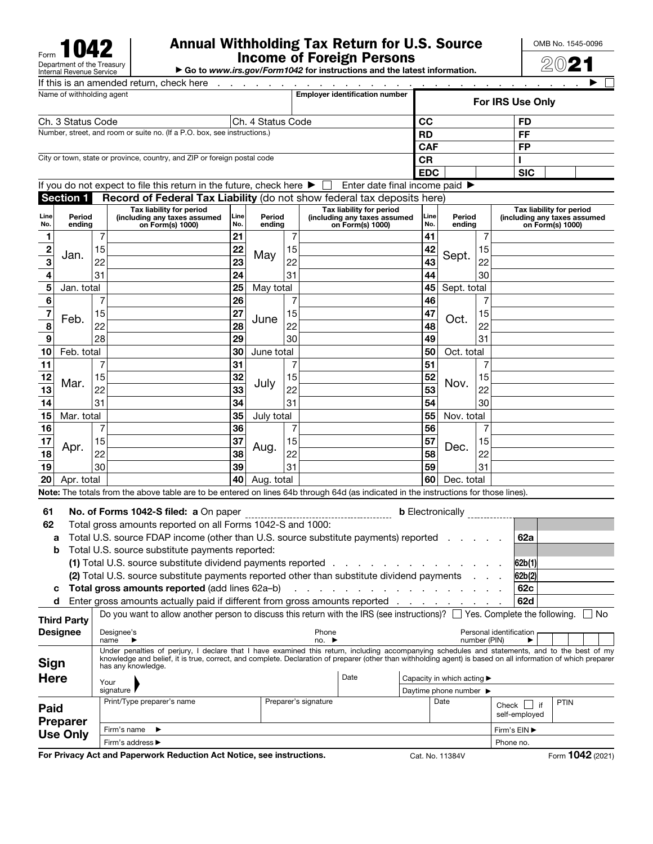Form<br>Department of the Treasury<br>Internal Revenue Service

## Annual Withholding Tax Return for U.S. Source Income of Foreign Persons

OMB No. 1545-0096 2021

▶ Go to *www.irs.gov/Form1042* for instructions and the latest information.

|                                                                          |                  |    | If this is an amended return, check here                                     |             |                  |    |                                                                                                                                                  |             |                  |    |                                                                              |                         |  |  |
|--------------------------------------------------------------------------|------------------|----|------------------------------------------------------------------------------|-------------|------------------|----|--------------------------------------------------------------------------------------------------------------------------------------------------|-------------|------------------|----|------------------------------------------------------------------------------|-------------------------|--|--|
| Name of withholding agent                                                |                  |    |                                                                              |             |                  |    | <b>Employer identification number</b>                                                                                                            |             |                  |    |                                                                              | <b>For IRS Use Only</b> |  |  |
| Ch. 4 Status Code<br>Ch. 3 Status Code                                   |                  |    |                                                                              |             |                  |    |                                                                                                                                                  | <b>CC</b>   |                  |    | FD                                                                           |                         |  |  |
| Number, street, and room or suite no. (If a P.O. box, see instructions.) |                  |    |                                                                              |             |                  |    |                                                                                                                                                  | <b>RD</b>   |                  |    |                                                                              | FF                      |  |  |
|                                                                          |                  |    |                                                                              |             |                  |    |                                                                                                                                                  | <b>CAF</b>  |                  |    |                                                                              | FP                      |  |  |
| City or town, state or province, country, and ZIP or foreign postal code |                  |    |                                                                              |             |                  |    |                                                                                                                                                  | <b>CR</b>   |                  |    |                                                                              |                         |  |  |
|                                                                          |                  |    |                                                                              |             |                  |    |                                                                                                                                                  | <b>EDC</b>  |                  |    |                                                                              | <b>SIC</b>              |  |  |
|                                                                          |                  |    |                                                                              |             |                  |    | If you do not expect to file this return in the future, check here $\blacktriangleright \Box$ Enter date final income paid $\blacktriangleright$ |             |                  |    |                                                                              |                         |  |  |
|                                                                          | <b>Section 1</b> |    |                                                                              |             |                  |    | Record of Federal Tax Liability (do not show federal tax deposits here)                                                                          |             |                  |    |                                                                              |                         |  |  |
| Line<br>Period<br>No.<br>ending                                          |                  |    | Tax liability for period<br>(including any taxes assumed<br>on Form(s) 1000) | Line<br>No. | Period<br>ending |    | Tax liability for period<br>(including any taxes assumed<br>on Form(s) 1000)                                                                     | Line<br>No. | Period<br>ending |    | Tax liability for period<br>(including any taxes assumed<br>on Form(s) 1000) |                         |  |  |
|                                                                          |                  |    |                                                                              | 21          |                  |    |                                                                                                                                                  | 41          |                  |    |                                                                              |                         |  |  |
|                                                                          | lan              | 15 |                                                                              | 22          | Mav              | 15 |                                                                                                                                                  | 42          | Sent             | 15 |                                                                              |                         |  |  |
|                                                                          |                  |    |                                                                              |             |                  |    |                                                                                                                                                  |             |                  |    |                                                                              |                         |  |  |

| $\mathbf{z}$                                          | Jan.                                                                                                                                                    | 15 | $\mathbf{Z}$    | May               | 15              |    | $\frac{42}{1}$ Sept. | 15 |  |
|-------------------------------------------------------|---------------------------------------------------------------------------------------------------------------------------------------------------------|----|-----------------|-------------------|-----------------|----|----------------------|----|--|
| 3                                                     |                                                                                                                                                         | 22 | $\overline{23}$ |                   | 22              | 43 |                      | 22 |  |
| $\overline{4}$                                        |                                                                                                                                                         | 31 | 24              |                   | 31              | 44 |                      | 30 |  |
| 5 <sup>5</sup>                                        | Jan. total                                                                                                                                              |    | 25              | May total         |                 | 45 | Sept. total          |    |  |
| 6                                                     |                                                                                                                                                         |    | 26              |                   |                 | 46 |                      |    |  |
| 7                                                     | Feb.                                                                                                                                                    | 15 | 27              |                   | 15              | 47 | Oct.                 | 15 |  |
| $\overline{\mathbf{8}}$                               |                                                                                                                                                         | 22 | 28              | June              | 22              | 48 |                      | 22 |  |
| 9                                                     |                                                                                                                                                         | 28 | 29              |                   | 30 <sup>1</sup> | 49 |                      | 31 |  |
| 10                                                    | Feb. total                                                                                                                                              |    | 30 <sup>1</sup> | June total        |                 | 50 | Oct. total           |    |  |
|                                                       |                                                                                                                                                         | 7  | 31              |                   |                 | 51 |                      |    |  |
| $\frac{11}{12}$<br>$\frac{12}{14}$<br>$\frac{14}{15}$ | Mar.                                                                                                                                                    | 15 | 32              | July              | 15              | 52 | Nov.                 | 15 |  |
|                                                       |                                                                                                                                                         | 22 | 33              |                   | 22              | 53 |                      | 22 |  |
|                                                       |                                                                                                                                                         | 31 | 34              |                   | 31              | 54 |                      | 30 |  |
|                                                       | Mar. total                                                                                                                                              |    | 35              | July total        |                 | 55 | Nov. total           |    |  |
|                                                       |                                                                                                                                                         | 7  | 36              |                   | 7               | 56 |                      | 7  |  |
|                                                       |                                                                                                                                                         | 15 | 37              |                   | 15              | 57 | Dec.                 | 15 |  |
|                                                       |                                                                                                                                                         | 22 | 38              | Aug.              | 22              | 58 |                      | 22 |  |
|                                                       | $\begin{array}{c c}\n\hline\n16 & & 15 \\ \hline\n17 & & 15 \\ \hline\n18 & & 22 \\ \hline\n19 & & 30 \\ \hline\n20 & & \text{Apr. total}\n\end{array}$ | 30 | 39              |                   | 31              | 59 |                      | 31 |  |
|                                                       |                                                                                                                                                         |    |                 | $ 40 $ Aug. total |                 | 60 | Dec. total           |    |  |

Note: The totals from the above table are to be entered on lines 64b through 64d (as indicated in the instructions for those lines).

| 61                 |                                                                                                       | No. of Forms 1042-S filed: a On paper<br><b>b</b> Electronically |                                                                                                                                                                                                                                                                                                                 |                      |                                                                                                                 |                            |                                            |        |                     |             |     |
|--------------------|-------------------------------------------------------------------------------------------------------|------------------------------------------------------------------|-----------------------------------------------------------------------------------------------------------------------------------------------------------------------------------------------------------------------------------------------------------------------------------------------------------------|----------------------|-----------------------------------------------------------------------------------------------------------------|----------------------------|--------------------------------------------|--------|---------------------|-------------|-----|
| 62                 | Total gross amounts reported on all Forms 1042-S and 1000:                                            |                                                                  |                                                                                                                                                                                                                                                                                                                 |                      |                                                                                                                 |                            |                                            |        |                     |             |     |
| a                  | Total U.S. source FDAP income (other than U.S. source substitute payments) reported entitled results  |                                                                  |                                                                                                                                                                                                                                                                                                                 |                      |                                                                                                                 |                            |                                            | 62a    |                     |             |     |
| b                  | Total U.S. source substitute payments reported:                                                       |                                                                  |                                                                                                                                                                                                                                                                                                                 |                      |                                                                                                                 |                            |                                            |        |                     |             |     |
|                    | (1) Total U.S. source substitute dividend payments reported $\ldots$ , $\ldots$ , $\ldots$ , $\ldots$ |                                                                  |                                                                                                                                                                                                                                                                                                                 |                      |                                                                                                                 |                            |                                            |        | 62b(1)              |             |     |
|                    | (2) Total U.S. source substitute payments reported other than substitute dividend payments            |                                                                  |                                                                                                                                                                                                                                                                                                                 |                      |                                                                                                                 |                            |                                            | 62b(2) |                     |             |     |
| c                  |                                                                                                       |                                                                  | <b>Total gross amounts reported (add lines 62a-b)</b>                                                                                                                                                                                                                                                           |                      | and a series of the contract of the contract of the contract of the contract of the contract of the contract of |                            |                                            |        | 62c                 |             |     |
| d                  |                                                                                                       |                                                                  | Enter gross amounts actually paid if different from gross amounts reported                                                                                                                                                                                                                                      |                      |                                                                                                                 |                            |                                            |        | 62d                 |             |     |
| <b>Third Party</b> |                                                                                                       |                                                                  | Do you want to allow another person to discuss this return with the IRS (see instructions)? $\Box$ Yes. Complete the following.                                                                                                                                                                                 |                      |                                                                                                                 |                            |                                            |        |                     |             | ∣No |
| <b>Designee</b>    |                                                                                                       | Designee's<br>name                                               | Personal identification<br>Phone<br>number (PIN)<br>no.                                                                                                                                                                                                                                                         |                      |                                                                                                                 |                            |                                            |        |                     |             |     |
| Sign               |                                                                                                       | has any knowledge.                                               | Under penalties of perjury, I declare that I have examined this return, including accompanying schedules and statements, and to the best of my<br>knowledge and belief, it is true, correct, and complete. Declaration of preparer (other than withholding agent) is based on all information of which preparer |                      |                                                                                                                 |                            |                                            |        |                     |             |     |
| <b>Here</b>        |                                                                                                       | Your                                                             |                                                                                                                                                                                                                                                                                                                 |                      | Date                                                                                                            | Capacity in which acting ▶ |                                            |        |                     |             |     |
|                    |                                                                                                       | signature                                                        |                                                                                                                                                                                                                                                                                                                 |                      |                                                                                                                 |                            | Daytime phone number $\blacktriangleright$ |        |                     |             |     |
| Paid               |                                                                                                       | Print/Type preparer's name                                       |                                                                                                                                                                                                                                                                                                                 | Preparer's signature |                                                                                                                 |                            | Date                                       | Check  | if<br>self-employed | <b>PTIN</b> |     |
| <b>Preparer</b>    |                                                                                                       |                                                                  |                                                                                                                                                                                                                                                                                                                 |                      |                                                                                                                 |                            |                                            |        |                     |             |     |

For Privacy Act and Paperwork Reduction Act Notice, see instructions. Cat. No. 11384V Form 1042 (2021)

Firm's name ▶ Firm's address ▶

Use Only

Firm's EIN ▶ Phone no.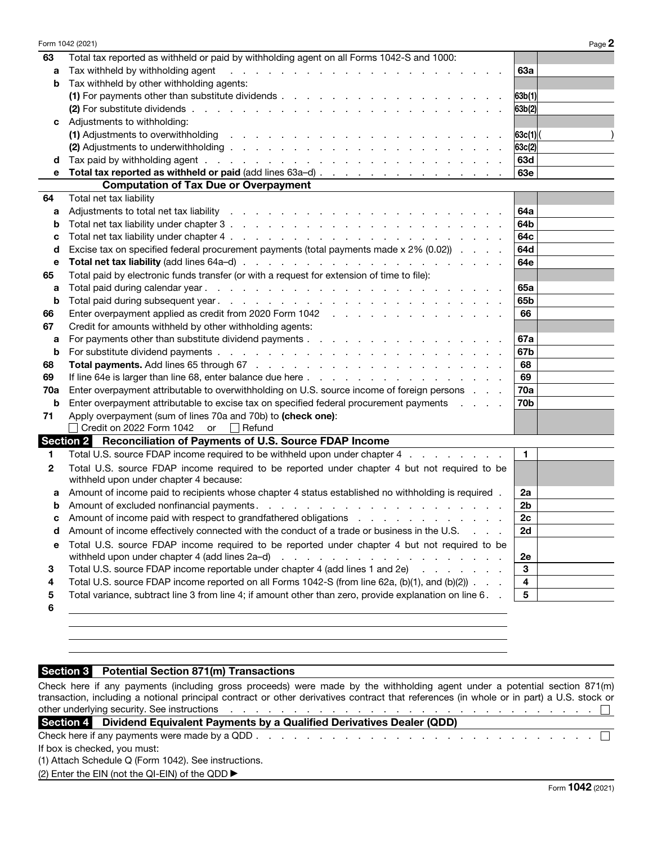|              | Form 1042 (2021)                                                                                                                                                                                                                                                    | Page 2       |
|--------------|---------------------------------------------------------------------------------------------------------------------------------------------------------------------------------------------------------------------------------------------------------------------|--------------|
| 63           | Total tax reported as withheld or paid by withholding agent on all Forms 1042-S and 1000:                                                                                                                                                                           |              |
| a            | Tax withheld by withholding agent<br>the contract of the contract of the contract of the contract of the contract of the contract of the contract of the contract of the contract of the contract of the contract of the contract of the contract of the contract o | <b>63a</b>   |
| b            | Tax withheld by other withholding agents:                                                                                                                                                                                                                           |              |
|              |                                                                                                                                                                                                                                                                     | 63b(1)       |
|              |                                                                                                                                                                                                                                                                     | 63b(2)       |
| c            | Adjustments to withholding:                                                                                                                                                                                                                                         |              |
|              | (1) Adjustments to overwithholding<br>the second contract of the contract of the contract of the contract of the                                                                                                                                                    | 63c(1)       |
|              |                                                                                                                                                                                                                                                                     | 63c(2)       |
| d            |                                                                                                                                                                                                                                                                     | 63d          |
| е            | Total tax reported as withheld or paid (add lines 63a-d)                                                                                                                                                                                                            | <b>63e</b>   |
|              | <b>Computation of Tax Due or Overpayment</b>                                                                                                                                                                                                                        |              |
| 64           | Total net tax liability                                                                                                                                                                                                                                             |              |
| а            |                                                                                                                                                                                                                                                                     | 64a          |
| b            |                                                                                                                                                                                                                                                                     | 64b          |
| с            |                                                                                                                                                                                                                                                                     | 64c          |
| d            | Excise tax on specified federal procurement payments (total payments made x 2% (0.02))                                                                                                                                                                              | 64d          |
| е            |                                                                                                                                                                                                                                                                     | 64e          |
| 65           | Total paid by electronic funds transfer (or with a request for extension of time to file):                                                                                                                                                                          |              |
| a            |                                                                                                                                                                                                                                                                     | 65a          |
| b            |                                                                                                                                                                                                                                                                     | 65b          |
| 66           | Enter overpayment applied as credit from 2020 Form 1042                                                                                                                                                                                                             | 66           |
| 67           | Credit for amounts withheld by other withholding agents:                                                                                                                                                                                                            |              |
| a            |                                                                                                                                                                                                                                                                     | 67a          |
| b            |                                                                                                                                                                                                                                                                     | 67b          |
| 68           |                                                                                                                                                                                                                                                                     | 68           |
| 69           |                                                                                                                                                                                                                                                                     | 69           |
| 70a          | Enter overpayment attributable to overwithholding on U.S. source income of foreign persons                                                                                                                                                                          | <b>70a</b>   |
| b            | Enter overpayment attributable to excise tax on specified federal procurement payments                                                                                                                                                                              | <b>70b</b>   |
| 71           | Apply overpayment (sum of lines 70a and 70b) to (check one):                                                                                                                                                                                                        |              |
|              | Credit on 2022 Form 1042 or □ Refund                                                                                                                                                                                                                                |              |
|              | Section 2 Reconciliation of Payments of U.S. Source FDAP Income                                                                                                                                                                                                     |              |
| 1            | Total U.S. source FDAP income required to be withheld upon under chapter 4                                                                                                                                                                                          | $\mathbf{1}$ |
| $\mathbf{2}$ | Total U.S. source FDAP income required to be reported under chapter 4 but not required to be                                                                                                                                                                        |              |
|              | withheld upon under chapter 4 because:                                                                                                                                                                                                                              |              |
| a            | Amount of income paid to recipients whose chapter 4 status established no withholding is required .                                                                                                                                                                 | 2a           |
| b            |                                                                                                                                                                                                                                                                     | 2b           |
|              | Amount of income paid with respect to grandfathered obligations                                                                                                                                                                                                     | 2c           |
| d            | Amount of income effectively connected with the conduct of a trade or business in the U.S.                                                                                                                                                                          | 2d           |
| е            | Total U.S. source FDAP income required to be reported under chapter 4 but not required to be                                                                                                                                                                        | 2e           |
| 3            | Total U.S. source FDAP income reportable under chapter 4 (add lines 1 and 2e)                                                                                                                                                                                       | 3            |
| 4            | Total U.S. source FDAP income reported on all Forms 1042-S (from line 62a, (b)(1), and (b)(2))                                                                                                                                                                      | 4            |
| 5            | Total variance, subtract line 3 from line 4; if amount other than zero, provide explanation on line 6. .                                                                                                                                                            | 5            |
| 6            |                                                                                                                                                                                                                                                                     |              |
|              |                                                                                                                                                                                                                                                                     |              |

#### Section 3 Potential Section 871(m) Transactions

Check here if any payments (including gross proceeds) were made by the withholding agent under a potential section 871(m) transaction, including a notional principal contract or other derivatives contract that references (in whole or in part) a U.S. stock or other underlying security. See instructions . . . . . . . . . . . . . . . . . . . . . . . . . . . . . Section 4 Dividend Equivalent Payments by a Qualified Derivatives Dealer (QDD) Check here if any payments were made by a QDD . . . . . . . . . . . . . . . . . . . . . . . . . . .

If box is checked, you must:

(1) Attach Schedule Q (Form 1042). See instructions.

(2) Enter the EIN (not the QI-EIN) of the QDD ▶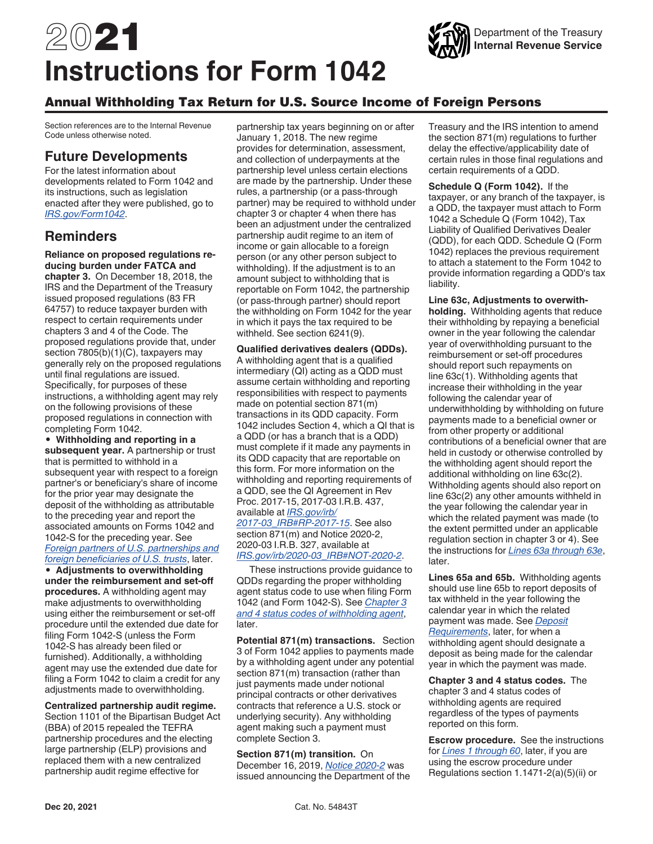# 2021 **Instructions for Form 1042**

## Annual Withholding Tax Return for U.S. Source Income of Foreign Persons

Section references are to the Internal Revenue Code unless otherwise noted.

## **Future Developments**

For the latest information about developments related to Form 1042 and its instructions, such as legislation enacted after they were published, go to *[IRS.gov/Form1042](https://www.irs.gov/form1042)*.

## **Reminders**

**Reliance on proposed regulations reducing burden under FATCA and chapter 3.** On December 18, 2018, the

IRS and the Department of the Treasury issued proposed regulations (83 FR 64757) to reduce taxpayer burden with respect to certain requirements under chapters 3 and 4 of the Code. The proposed regulations provide that, under section 7805(b)(1)(C), taxpayers may generally rely on the proposed regulations until final regulations are issued. Specifically, for purposes of these instructions, a withholding agent may rely on the following provisions of these proposed regulations in connection with completing Form 1042.

• **Withholding and reporting in a subsequent year.** A partnership or trust that is permitted to withhold in a subsequent year with respect to a foreign partner's or beneficiary's share of income for the prior year may designate the deposit of the withholding as attributable to the preceding year and report the associated amounts on Forms 1042 and 1042-S for the preceding year. See *Foreign partners of U.S. partnerships and foreign beneficiaries of U.S. trusts*, later.

• **Adjustments to overwithholding under the reimbursement and set-off procedures.** A withholding agent may make adjustments to overwithholding using either the reimbursement or set-off procedure until the extended due date for filing Form 1042-S (unless the Form 1042-S has already been filed or furnished). Additionally, a withholding agent may use the extended due date for filing a Form 1042 to claim a credit for any adjustments made to overwithholding.

**Centralized partnership audit regime.**  Section 1101 of the Bipartisan Budget Act (BBA) of 2015 repealed the TEFRA partnership procedures and the electing large partnership (ELP) provisions and replaced them with a new centralized partnership audit regime effective for

partnership tax years beginning on or after January 1, 2018. The new regime provides for determination, assessment, and collection of underpayments at the partnership level unless certain elections are made by the partnership. Under these rules, a partnership (or a pass-through partner) may be required to withhold under chapter 3 or chapter 4 when there has been an adjustment under the centralized partnership audit regime to an item of income or gain allocable to a foreign person (or any other person subject to withholding). If the adjustment is to an amount subject to withholding that is reportable on Form 1042, the partnership (or pass-through partner) should report the withholding on Form 1042 for the year in which it pays the tax required to be withheld. See section 6241(9).

**Qualified derivatives dealers (QDDs).**  A withholding agent that is a qualified intermediary (QI) acting as a QDD must assume certain withholding and reporting responsibilities with respect to payments made on potential section 871(m) transactions in its QDD capacity. Form 1042 includes Section 4, which a QI that is a QDD (or has a branch that is a QDD) must complete if it made any payments in its QDD capacity that are reportable on this form. For more information on the withholding and reporting requirements of a QDD, see the QI Agreement in Rev Proc. 2017-15, 2017-03 I.R.B. 437, available at *[IRS.gov/irb/](https://www.irs.gov/irb/2017-03_IRB#RP-2017-15) [2017-03\\_IRB#RP-2017-15](https://www.irs.gov/irb/2017-03_IRB#RP-2017-15)*. See also section 871(m) and Notice 2020-2, 2020-03 I.R.B. 327, available at *[IRS.gov/irb/2020-03\\_IRB#NOT-2020-2](https://www.irs.gov/irb/2020-03_IRB#NOT-2020-2)*.

These instructions provide guidance to QDDs regarding the proper withholding agent status code to use when filing Form 1042 (and Form 1042-S). See *Chapter 3 and 4 status codes of withholding agent*, later.

**Potential 871(m) transactions.** Section 3 of Form 1042 applies to payments made by a withholding agent under any potential section 871(m) transaction (rather than just payments made under notional principal contracts or other derivatives contracts that reference a U.S. stock or underlying security). Any withholding agent making such a payment must complete Section 3.

**Section 871(m) transition.** On December 16, 2019, *[Notice 2020-2](https://www.irs.gov/irb/2020-03_IRB#NOT-2020-2)* was issued announcing the Department of the Treasury and the IRS intention to amend the section 871(m) regulations to further delay the effective/applicability date of certain rules in those final regulations and certain requirements of a QDD.

Department of the Treasury **Internal Revenue Service**

**Schedule Q (Form 1042).** If the taxpayer, or any branch of the taxpayer, is a QDD, the taxpayer must attach to Form 1042 a Schedule Q (Form 1042), Tax Liability of Qualified Derivatives Dealer (QDD), for each QDD. Schedule Q (Form 1042) replaces the previous requirement to attach a statement to the Form 1042 to provide information regarding a QDD's tax liability.

**Line 63c, Adjustments to overwithholding.** Withholding agents that reduce their withholding by repaying a beneficial owner in the year following the calendar year of overwithholding pursuant to the reimbursement or set-off procedures should report such repayments on line 63c(1). Withholding agents that increase their withholding in the year following the calendar year of underwithholding by withholding on future payments made to a beneficial owner or from other property or additional contributions of a beneficial owner that are held in custody or otherwise controlled by the withholding agent should report the additional withholding on line 63c(2). Withholding agents should also report on line 63c(2) any other amounts withheld in the year following the calendar year in which the related payment was made (to the extent permitted under an applicable regulation section in chapter 3 or 4). See the instructions for *Lines 63a through 63e*, later.

**Lines 65a and 65b.** Withholding agents should use line 65b to report deposits of tax withheld in the year following the calendar year in which the related payment was made. See *Deposit Requirements*, later, for when a withholding agent should designate a deposit as being made for the calendar year in which the payment was made.

**Chapter 3 and 4 status codes.** The chapter 3 and 4 status codes of withholding agents are required regardless of the types of payments reported on this form.

**Escrow procedure.** See the instructions for *Lines 1 through 60*, later, if you are using the escrow procedure under Regulations section 1.1471-2(a)(5)(ii) or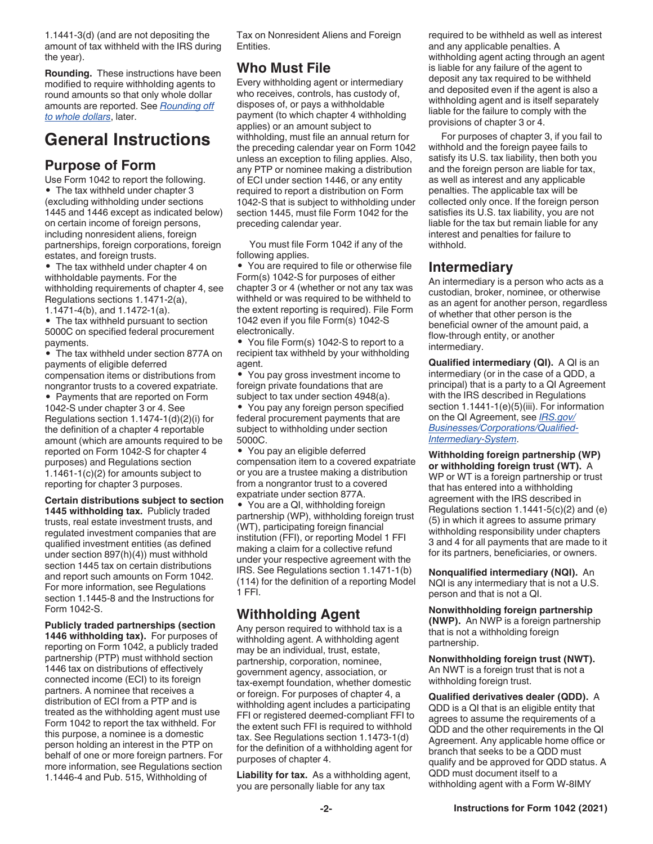1.1441-3(d) (and are not depositing the amount of tax withheld with the IRS during the year).

**Rounding.** These instructions have been modified to require withholding agents to round amounts so that only whole dollar amounts are reported. See *Rounding off to whole dollars*, later.

# **General Instructions**

## **Purpose of Form**

Use Form 1042 to report the following. • The tax withheld under chapter 3 (excluding withholding under sections 1445 and 1446 except as indicated below) on certain income of foreign persons, including nonresident aliens, foreign partnerships, foreign corporations, foreign estates, and foreign trusts.

• The tax withheld under chapter 4 on withholdable payments. For the withholding requirements of chapter 4, see Regulations sections 1.1471-2(a), 1.1471-4(b), and 1.1472-1(a).

• The tax withheld pursuant to section 5000C on specified federal procurement payments.

• The tax withheld under section 877A on payments of eligible deferred compensation items or distributions from nongrantor trusts to a covered expatriate.

• Payments that are reported on Form 1042-S under chapter 3 or 4. See Regulations section 1.1474-1(d)(2)(i) for the definition of a chapter 4 reportable amount (which are amounts required to be reported on Form 1042-S for chapter 4 purposes) and Regulations section 1.1461-1(c)(2) for amounts subject to reporting for chapter 3 purposes.

#### **Certain distributions subject to section**

**1445 withholding tax.** Publicly traded trusts, real estate investment trusts, and regulated investment companies that are qualified investment entities (as defined under section 897(h)(4)) must withhold section 1445 tax on certain distributions and report such amounts on Form 1042. For more information, see Regulations section 1.1445-8 and the Instructions for Form 1042-S.

**Publicly traded partnerships (section 1446 withholding tax).** For purposes of reporting on Form 1042, a publicly traded partnership (PTP) must withhold section 1446 tax on distributions of effectively connected income (ECI) to its foreign partners. A nominee that receives a distribution of ECI from a PTP and is treated as the withholding agent must use Form 1042 to report the tax withheld. For this purpose, a nominee is a domestic person holding an interest in the PTP on behalf of one or more foreign partners. For more information, see Regulations section 1.1446-4 and Pub. 515, Withholding of

Tax on Nonresident Aliens and Foreign Entities.

## **Who Must File**

Every withholding agent or intermediary who receives, controls, has custody of, disposes of, or pays a withholdable payment (to which chapter 4 withholding applies) or an amount subject to withholding, must file an annual return for the preceding calendar year on Form 1042 unless an exception to filing applies. Also, any PTP or nominee making a distribution of ECI under section 1446, or any entity required to report a distribution on Form 1042-S that is subject to withholding under section 1445, must file Form 1042 for the preceding calendar year.

You must file Form 1042 if any of the following applies.

• You are required to file or otherwise file Form(s) 1042-S for purposes of either chapter 3 or 4 (whether or not any tax was withheld or was required to be withheld to the extent reporting is required). File Form 1042 even if you file Form(s) 1042-S electronically.

• You file Form(s) 1042-S to report to a recipient tax withheld by your withholding agent.

• You pay gross investment income to foreign private foundations that are subject to tax under section 4948(a).

• You pay any foreign person specified federal procurement payments that are subject to withholding under section 5000C.

• You pay an eligible deferred compensation item to a covered expatriate or you are a trustee making a distribution from a nongrantor trust to a covered expatriate under section 877A.

• You are a QI, withholding foreign partnership (WP), withholding foreign trust (WT), participating foreign financial institution (FFI), or reporting Model 1 FFI making a claim for a collective refund under your respective agreement with the IRS. See Regulations section 1.1471-1(b) (114) for the definition of a reporting Model 1 FFI.

## **Withholding Agent**

Any person required to withhold tax is a withholding agent. A withholding agent may be an individual, trust, estate, partnership, corporation, nominee, government agency, association, or tax-exempt foundation, whether domestic or foreign. For purposes of chapter 4, a withholding agent includes a participating FFI or registered deemed-compliant FFI to the extent such FFI is required to withhold tax. See Regulations section 1.1473-1(d) for the definition of a withholding agent for purposes of chapter 4.

**Liability for tax.** As a withholding agent, you are personally liable for any tax

required to be withheld as well as interest and any applicable penalties. A withholding agent acting through an agent is liable for any failure of the agent to deposit any tax required to be withheld and deposited even if the agent is also a withholding agent and is itself separately liable for the failure to comply with the provisions of chapter 3 or 4.

For purposes of chapter 3, if you fail to withhold and the foreign payee fails to satisfy its U.S. tax liability, then both you and the foreign person are liable for tax, as well as interest and any applicable penalties. The applicable tax will be collected only once. If the foreign person satisfies its U.S. tax liability, you are not liable for the tax but remain liable for any interest and penalties for failure to withhold.

## **Intermediary**

An intermediary is a person who acts as a custodian, broker, nominee, or otherwise as an agent for another person, regardless of whether that other person is the beneficial owner of the amount paid, a flow-through entity, or another intermediary.

**Qualified intermediary (QI).** A QI is an intermediary (or in the case of a QDD, a principal) that is a party to a QI Agreement with the IRS described in Regulations section 1.1441-1(e)(5)(iii). For information on the QI Agreement, see *[IRS.gov/](https://www.irs.gov/businesses/corporations/qualified-intermediary-system) [Businesses/Corporations/Qualified-](https://www.irs.gov/businesses/corporations/qualified-intermediary-system)[Intermediary-System](https://www.irs.gov/businesses/corporations/qualified-intermediary-system)*.

**Withholding foreign partnership (WP) or withholding foreign trust (WT).** A WP or WT is a foreign partnership or trust that has entered into a withholding agreement with the IRS described in Regulations section 1.1441-5(c)(2) and (e) (5) in which it agrees to assume primary withholding responsibility under chapters 3 and 4 for all payments that are made to it for its partners, beneficiaries, or owners.

**Nonqualified intermediary (NQI).** An NQI is any intermediary that is not a U.S. person and that is not a QI.

**Nonwithholding foreign partnership (NWP).** An NWP is a foreign partnership that is not a withholding foreign partnership.

**Nonwithholding foreign trust (NWT).**  An NWT is a foreign trust that is not a withholding foreign trust.

**Qualified derivatives dealer (QDD).** A QDD is a QI that is an eligible entity that agrees to assume the requirements of a QDD and the other requirements in the QI Agreement. Any applicable home office or branch that seeks to be a QDD must qualify and be approved for QDD status. A QDD must document itself to a withholding agent with a Form W-8IMY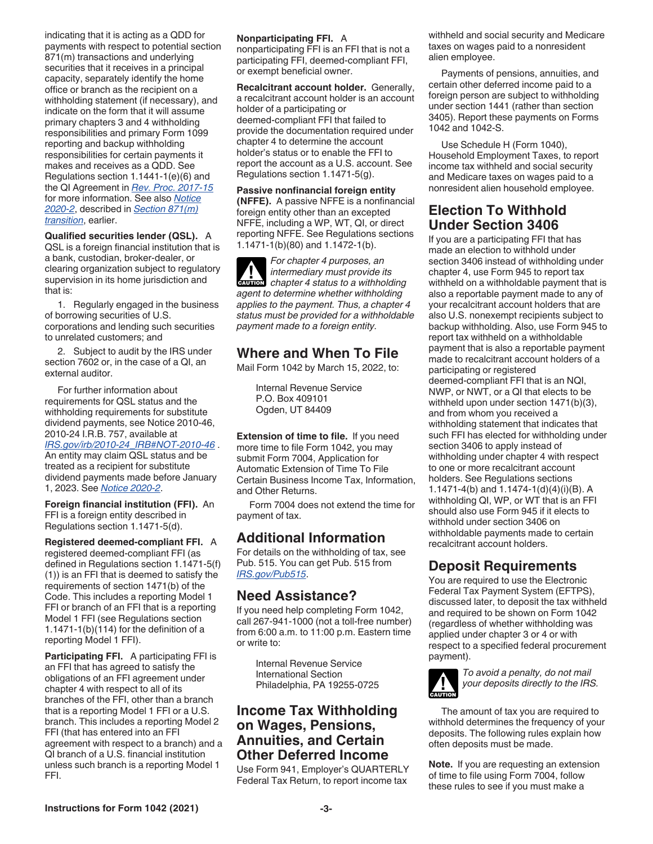indicating that it is acting as a QDD for payments with respect to potential section 871(m) transactions and underlying securities that it receives in a principal capacity, separately identify the home office or branch as the recipient on a withholding statement (if necessary), and indicate on the form that it will assume primary chapters 3 and 4 withholding responsibilities and primary Form 1099 reporting and backup withholding responsibilities for certain payments it makes and receives as a QDD. See Regulations section 1.1441-1(e)(6) and the QI Agreement in *[Rev. Proc. 2017-15](https://www.irs.gov/irb/2017-03_IRB#RP-2017-15)*  for more information. See also *[Notice](https://www.irs.gov/irb/2020-03_IRB#NOT-2020-2)  [2020-2](https://www.irs.gov/irb/2020-03_IRB#NOT-2020-2)*, described in *Section 871(m) transition*, earlier.

**Qualified securities lender (QSL).** A QSL is a foreign financial institution that is a bank, custodian, broker-dealer, or clearing organization subject to regulatory supervision in its home jurisdiction and that is:

1. Regularly engaged in the business of borrowing securities of U.S. corporations and lending such securities to unrelated customers; and

2. Subject to audit by the IRS under section 7602 or, in the case of a QI, an external auditor.

For further information about requirements for QSL status and the withholding requirements for substitute dividend payments, see Notice 2010-46, 2010-24 I.R.B. 757, available at *[IRS.gov/irb/2010-24\\_IRB#NOT-2010-46](https://www.irs.gov/irb/2010-24_IRB#NOT-2010-46)* .

An entity may claim QSL status and be treated as a recipient for substitute dividend payments made before January 1, 2023. See *[Notice 2020-2](https://www.irs.gov/irb/2020-03_IRB#NOT-2020-2)*.

**Foreign financial institution (FFI).** An FFI is a foreign entity described in Regulations section 1.1471-5(d).

**Registered deemed-compliant FFI.** A registered deemed-compliant FFI (as defined in Regulations section 1.1471-5(f) (1)) is an FFI that is deemed to satisfy the requirements of section 1471(b) of the Code. This includes a reporting Model 1 FFI or branch of an FFI that is a reporting Model 1 FFI (see Regulations section 1.1471-1(b)(114) for the definition of a reporting Model 1 FFI).

**Participating FFI.** A participating FFI is an FFI that has agreed to satisfy the obligations of an FFI agreement under chapter 4 with respect to all of its branches of the FFI, other than a branch that is a reporting Model 1 FFI or a U.S. branch. This includes a reporting Model 2 FFI (that has entered into an FFI agreement with respect to a branch) and a QI branch of a U.S. financial institution unless such branch is a reporting Model 1 FFI.

#### **Nonparticipating FFI.** A

nonparticipating FFI is an FFI that is not a participating FFI, deemed-compliant FFI, or exempt beneficial owner.

**Recalcitrant account holder.** Generally, a recalcitrant account holder is an account holder of a participating or deemed-compliant FFI that failed to provide the documentation required under chapter 4 to determine the account holder's status or to enable the FFI to report the account as a U.S. account. See Regulations section 1.1471-5(g).

**Passive nonfinancial foreign entity (NFFE).** A passive NFFE is a nonfinancial foreign entity other than an excepted NFFE, including a WP, WT, QI, or direct reporting NFFE. See Regulations sections 1.1471-1(b)(80) and 1.1472-1(b).

*For chapter 4 purposes, an intermediary must provide its*  **chapter 4 status to a withholding** *agent to determine whether withholding applies to the payment. Thus, a chapter 4 status must be provided for a withholdable payment made to a foreign entity.*

## **Where and When To File**

Mail Form 1042 by March 15, 2022, to:

Internal Revenue Service P.O. Box 409101 Ogden, UT 84409

**Extension of time to file.** If you need more time to file Form 1042, you may submit Form 7004, Application for Automatic Extension of Time To File Certain Business Income Tax, Information, and Other Returns.

Form 7004 does not extend the time for payment of tax.

## **Additional Information**

For details on the withholding of tax, see Pub. 515. You can get Pub. 515 from *[IRS.gov/Pub515](https://www.irs.gov/Pub515)*.

## **Need Assistance?**

If you need help completing Form 1042, call 267-941-1000 (not a toll-free number) from 6:00 a.m. to 11:00 p.m. Eastern time or write to:

Internal Revenue Service International Section Philadelphia, PA 19255-0725

## **Income Tax Withholding on Wages, Pensions, Annuities, and Certain Other Deferred Income**

Use Form 941, Employer's QUARTERLY Federal Tax Return, to report income tax withheld and social security and Medicare taxes on wages paid to a nonresident alien employee.

Payments of pensions, annuities, and certain other deferred income paid to a foreign person are subject to withholding under section 1441 (rather than section 3405). Report these payments on Forms 1042 and 1042-S.

Use Schedule H (Form 1040), Household Employment Taxes, to report income tax withheld and social security and Medicare taxes on wages paid to a nonresident alien household employee.

## **Election To Withhold Under Section 3406**

If you are a participating FFI that has made an election to withhold under section 3406 instead of withholding under chapter 4, use Form 945 to report tax withheld on a withholdable payment that is also a reportable payment made to any of your recalcitrant account holders that are also U.S. nonexempt recipients subject to backup withholding. Also, use Form 945 to report tax withheld on a withholdable payment that is also a reportable payment made to recalcitrant account holders of a participating or registered deemed-compliant FFI that is an NQI, NWP, or NWT, or a QI that elects to be withheld upon under section 1471(b)(3), and from whom you received a withholding statement that indicates that such FFI has elected for withholding under section 3406 to apply instead of withholding under chapter 4 with respect to one or more recalcitrant account holders. See Regulations sections 1.1471-4(b) and 1.1474-1(d)(4)(i)(B). A withholding QI, WP, or WT that is an FFI should also use Form 945 if it elects to withhold under section 3406 on withholdable payments made to certain recalcitrant account holders.

## **Deposit Requirements**

You are required to use the Electronic Federal Tax Payment System (EFTPS), discussed later, to deposit the tax withheld and required to be shown on Form 1042 (regardless of whether withholding was applied under chapter 3 or 4 or with respect to a specified federal procurement payment).



*To avoid a penalty, do not mail your deposits directly to the IRS.*

The amount of tax you are required to withhold determines the frequency of your deposits. The following rules explain how often deposits must be made.

**Note.** If you are requesting an extension of time to file using Form 7004, follow these rules to see if you must make a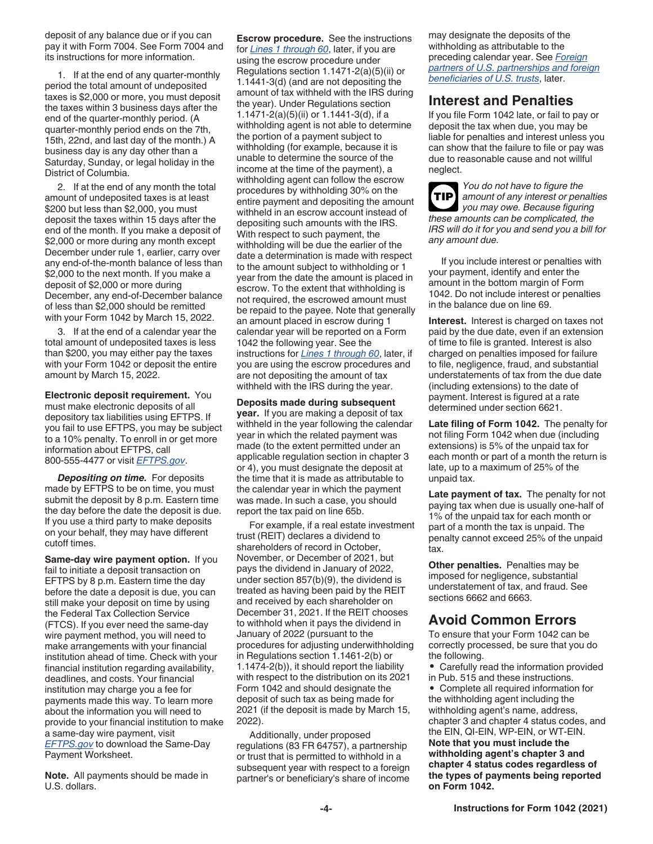deposit of any balance due or if you can pay it with Form 7004. See Form 7004 and its instructions for more information.

1. If at the end of any quarter-monthly period the total amount of undeposited taxes is \$2,000 or more, you must deposit the taxes within 3 business days after the end of the quarter-monthly period. (A quarter-monthly period ends on the 7th, 15th, 22nd, and last day of the month.) A business day is any day other than a Saturday, Sunday, or legal holiday in the District of Columbia.

2. If at the end of any month the total amount of undeposited taxes is at least \$200 but less than \$2,000, you must deposit the taxes within 15 days after the end of the month. If you make a deposit of \$2,000 or more during any month except December under rule 1, earlier, carry over any end-of-the-month balance of less than \$2,000 to the next month. If you make a deposit of \$2,000 or more during December, any end-of-December balance of less than \$2,000 should be remitted with your Form 1042 by March 15, 2022.

3. If at the end of a calendar year the total amount of undeposited taxes is less than \$200, you may either pay the taxes with your Form 1042 or deposit the entire amount by March 15, 2022.

**Electronic deposit requirement.** You must make electronic deposits of all depository tax liabilities using EFTPS. If you fail to use EFTPS, you may be subject to a 10% penalty. To enroll in or get more information about EFTPS, call 800-555-4477 or visit *[EFTPS.gov](https://www.eftps.gov/eftps/)*.

*Depositing on time.* For deposits made by EFTPS to be on time, you must submit the deposit by 8 p.m. Eastern time the day before the date the deposit is due. If you use a third party to make deposits on your behalf, they may have different cutoff times.

**Same-day wire payment option.** If you fail to initiate a deposit transaction on EFTPS by 8 p.m. Eastern time the day before the date a deposit is due, you can still make your deposit on time by using the Federal Tax Collection Service (FTCS). If you ever need the same-day wire payment method, you will need to make arrangements with your financial institution ahead of time. Check with your financial institution regarding availability, deadlines, and costs. Your financial institution may charge you a fee for payments made this way. To learn more about the information you will need to provide to your financial institution to make a same-day wire payment, visit *[EFTPS.gov](https://www.eftps.gov)* to download the Same-Day Payment Worksheet.

**Note.** All payments should be made in U.S. dollars.

**Escrow procedure.** See the instructions for *Lines 1 through 60*, later, if you are using the escrow procedure under Regulations section 1.1471-2(a)(5)(ii) or 1.1441-3(d) (and are not depositing the amount of tax withheld with the IRS during the year). Under Regulations section 1.1471-2(a)(5)(ii) or 1.1441-3(d), if a withholding agent is not able to determine the portion of a payment subject to withholding (for example, because it is unable to determine the source of the income at the time of the payment), a withholding agent can follow the escrow procedures by withholding 30% on the entire payment and depositing the amount withheld in an escrow account instead of depositing such amounts with the IRS. With respect to such payment, the withholding will be due the earlier of the date a determination is made with respect to the amount subject to withholding or 1 year from the date the amount is placed in escrow. To the extent that withholding is not required, the escrowed amount must be repaid to the payee. Note that generally an amount placed in escrow during 1 calendar year will be reported on a Form 1042 the following year. See the instructions for *Lines 1 through 60*, later, if you are using the escrow procedures and are not depositing the amount of tax withheld with the IRS during the year.

**Deposits made during subsequent year.** If you are making a deposit of tax withheld in the year following the calendar year in which the related payment was made (to the extent permitted under an applicable regulation section in chapter 3 or 4), you must designate the deposit at the time that it is made as attributable to the calendar year in which the payment was made. In such a case, you should report the tax paid on line 65b.

For example, if a real estate investment trust (REIT) declares a dividend to shareholders of record in October, November, or December of 2021, but pays the dividend in January of 2022, under section 857(b)(9), the dividend is treated as having been paid by the REIT and received by each shareholder on December 31, 2021. If the REIT chooses to withhold when it pays the dividend in January of 2022 (pursuant to the procedures for adjusting underwithholding in Regulations section 1.1461-2(b) or 1.1474-2(b)), it should report the liability with respect to the distribution on its 2021 Form 1042 and should designate the deposit of such tax as being made for 2021 (if the deposit is made by March 15, 2022).

Additionally, under proposed regulations (83 FR 64757), a partnership or trust that is permitted to withhold in a subsequent year with respect to a foreign partner's or beneficiary's share of income may designate the deposits of the withholding as attributable to the preceding calendar year. See *Foreign partners of U.S. partnerships and foreign beneficiaries of U.S. trusts*, later.

## **Interest and Penalties**

If you file Form 1042 late, or fail to pay or deposit the tax when due, you may be liable for penalties and interest unless you can show that the failure to file or pay was due to reasonable cause and not willful neglect.



*You do not have to figure the amount of any interest or penalties you may owe. Because figuring these amounts can be complicated, the IRS will do it for you and send you a bill for any amount due.*

If you include interest or penalties with your payment, identify and enter the amount in the bottom margin of Form 1042. Do not include interest or penalties in the balance due on line 69.

**Interest.** Interest is charged on taxes not paid by the due date, even if an extension of time to file is granted. Interest is also charged on penalties imposed for failure to file, negligence, fraud, and substantial understatements of tax from the due date (including extensions) to the date of payment. Interest is figured at a rate determined under section 6621.

**Late filing of Form 1042.** The penalty for not filing Form 1042 when due (including extensions) is 5% of the unpaid tax for each month or part of a month the return is late, up to a maximum of 25% of the unpaid tax.

**Late payment of tax.** The penalty for not paying tax when due is usually one-half of 1% of the unpaid tax for each month or part of a month the tax is unpaid. The penalty cannot exceed 25% of the unpaid tax.

**Other penalties.** Penalties may be imposed for negligence, substantial understatement of tax, and fraud. See sections 6662 and 6663.

## **Avoid Common Errors**

To ensure that your Form 1042 can be correctly processed, be sure that you do the following.

• Carefully read the information provided in Pub. 515 and these instructions.

• Complete all required information for the withholding agent including the withholding agent's name, address, chapter 3 and chapter 4 status codes, and the EIN, QI-EIN, WP-EIN, or WT-EIN. **Note that you must include the withholding agent's chapter 3 and chapter 4 status codes regardless of the types of payments being reported on Form 1042.**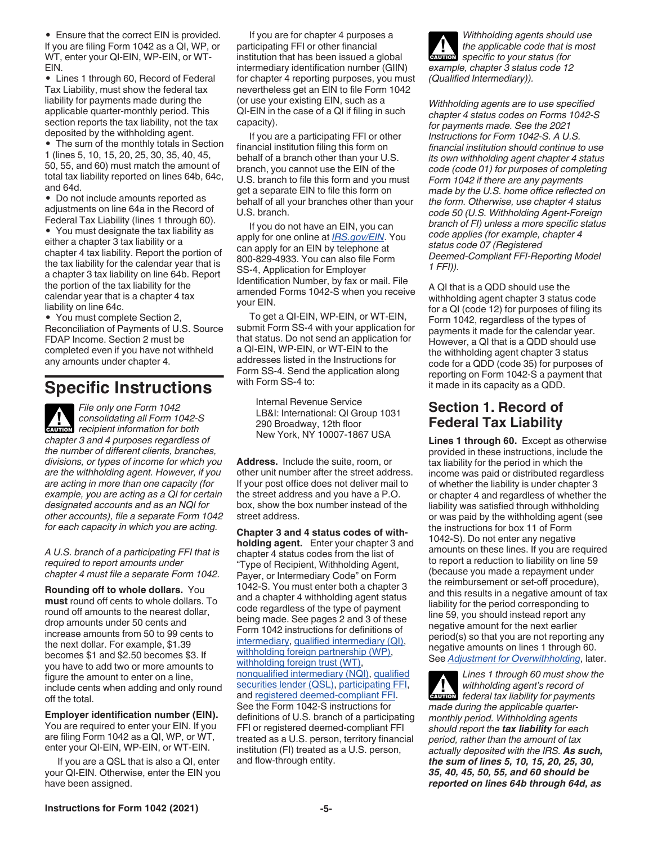• Ensure that the correct EIN is provided. If you are filing Form 1042 as a QI, WP, or WT, enter your QI-EIN, WP-EIN, or WT-EIN.

• Lines 1 through 60, Record of Federal Tax Liability, must show the federal tax liability for payments made during the applicable quarter-monthly period. This section reports the tax liability, not the tax deposited by the withholding agent.

• The sum of the monthly totals in Section 1 (lines 5, 10, 15, 20, 25, 30, 35, 40, 45, 50, 55, and 60) must match the amount of total tax liability reported on lines 64b, 64c, and 64d.

• Do not include amounts reported as adjustments on line 64a in the Record of Federal Tax Liability (lines 1 through 60).

• You must designate the tax liability as either a chapter 3 tax liability or a chapter 4 tax liability. Report the portion of the tax liability for the calendar year that is a chapter 3 tax liability on line 64b. Report the portion of the tax liability for the calendar year that is a chapter 4 tax liability on line 64c.

• You must complete Section 2, Reconciliation of Payments of U.S. Source FDAP Income. Section 2 must be completed even if you have not withheld any amounts under chapter 4.

# **Specific Instructions**

*File only one Form 1042 consolidating all Form 1042-S*  **Proposition** consolidating all Form 1042-8 *chapter 3 and 4 purposes regardless of the number of different clients, branches, divisions, or types of income for which you are the withholding agent. However, if you are acting in more than one capacity (for example, you are acting as a QI for certain designated accounts and as an NQI for other accounts), file a separate Form 1042 for each capacity in which you are acting.*

*A U.S. branch of a participating FFI that is required to report amounts under chapter 4 must file a separate Form 1042.*

**Rounding off to whole dollars.** You **must** round off cents to whole dollars. To round off amounts to the nearest dollar, drop amounts under 50 cents and increase amounts from 50 to 99 cents to the next dollar. For example, \$1.39 becomes \$1 and \$2.50 becomes \$3. If you have to add two or more amounts to figure the amount to enter on a line, include cents when adding and only round off the total.

**Employer identification number (EIN).**  You are required to enter your EIN. If you are filing Form 1042 as a QI, WP, or WT, enter your QI-EIN, WP-EIN, or WT-EIN.

If you are a QSL that is also a QI, enter your QI-EIN. Otherwise, enter the EIN you have been assigned.

If you are for chapter 4 purposes a participating FFI or other financial institution that has been issued a global intermediary identification number (GIIN) for chapter 4 reporting purposes, you must nevertheless get an EIN to file Form 1042 (or use your existing EIN, such as a QI-EIN in the case of a QI if filing in such capacity).

If you are a participating FFI or other financial institution filing this form on behalf of a branch other than your U.S. branch, you cannot use the EIN of the U.S. branch to file this form and you must get a separate EIN to file this form on behalf of all your branches other than your U.S. branch.

If you do not have an EIN, you can apply for one online at *[IRS.gov/EIN](https://www.irs.gov/businesses/small-businesses-self-employed/apply-for-an-employer-identification-number-ein-online)*. You can apply for an EIN by telephone at 800-829-4933. You can also file Form SS-4, Application for Employer Identification Number, by fax or mail. File amended Forms 1042-S when you receive your EIN.

To get a QI-EIN, WP-EIN, or WT-EIN, submit Form SS-4 with your application for that status. Do not send an application for a QI-EIN, WP-EIN, or WT-EIN to the addresses listed in the Instructions for Form SS-4. Send the application along with Form SS-4 to:

Internal Revenue Service LB&I: International: QI Group 1031 290 Broadway, 12th floor New York, NY 10007-1867 USA

**Address.** Include the suite, room, or other unit number after the street address. If your post office does not deliver mail to the street address and you have a P.O. box, show the box number instead of the street address.

**Chapter 3 and 4 status codes of withholding agent.** Enter your chapter 3 and chapter 4 status codes from the list of "Type of Recipient, Withholding Agent, Payer, or Intermediary Code" on Form 1042-S. You must enter both a chapter 3 and a chapter 4 withholding agent status code regardless of the type of payment being made. See pages 2 and 3 of these Form 1042 instructions for definitions of intermediary, qualified intermediary (QI), withholding foreign partnership (WP), withholding foreign trust (WT), nonqualified intermediary (NQI), qualified securities lender (QSL), participating FFI, and registered deemed-compliant FFI. See the Form 1042-S instructions for definitions of U.S. branch of a participating FFI or registered deemed-compliant FFI treated as a U.S. person, territory financial institution (FI) treated as a U.S. person, and flow-through entity.

*Withholding agents should use the applicable code that is most specific to your status (for example, chapter 3 status code 12 (Qualified Intermediary)).* **CAUTION !**

*Withholding agents are to use specified chapter 4 status codes on Forms 1042-S for payments made. See the 2021 Instructions for Form 1042-S. A U.S. financial institution should continue to use its own withholding agent chapter 4 status code (code 01) for purposes of completing Form 1042 if there are any payments made by the U.S. home office reflected on the form. Otherwise, use chapter 4 status code 50 (U.S. Withholding Agent-Foreign branch of FI) unless a more specific status code applies (for example, chapter 4 status code 07 (Registered Deemed-Compliant FFI-Reporting Model 1 FFI)).*

A QI that is a QDD should use the withholding agent chapter 3 status code for a QI (code 12) for purposes of filing its Form 1042, regardless of the types of payments it made for the calendar year. However, a QI that is a QDD should use the withholding agent chapter 3 status code for a QDD (code 35) for purposes of reporting on Form 1042-S a payment that it made in its capacity as a QDD.

## **Section 1. Record of Federal Tax Liability**

**Lines 1 through 60.** Except as otherwise provided in these instructions, include the tax liability for the period in which the income was paid or distributed regardless of whether the liability is under chapter 3 or chapter 4 and regardless of whether the liability was satisfied through withholding or was paid by the withholding agent (see the instructions for box 11 of Form 1042-S). Do not enter any negative amounts on these lines. If you are required to report a reduction to liability on line 59 (because you made a repayment under the reimbursement or set-off procedure), and this results in a negative amount of tax liability for the period corresponding to line 59, you should instead report any negative amount for the next earlier period(s) so that you are not reporting any negative amounts on lines 1 through 60. See *Adjustment for Overwithholding*, later.

*Lines 1 through 60 must show the withholding agent's record of federal tax liability for payments made during the applicable quartermonthly period. Withholding agents should report the tax liability for each period, rather than the amount of tax actually deposited with the IRS. As such, the sum of lines 5, 10, 15, 20, 25, 30, 35, 40, 45, 50, 55, and 60 should be reported on lines 64b through 64d, as*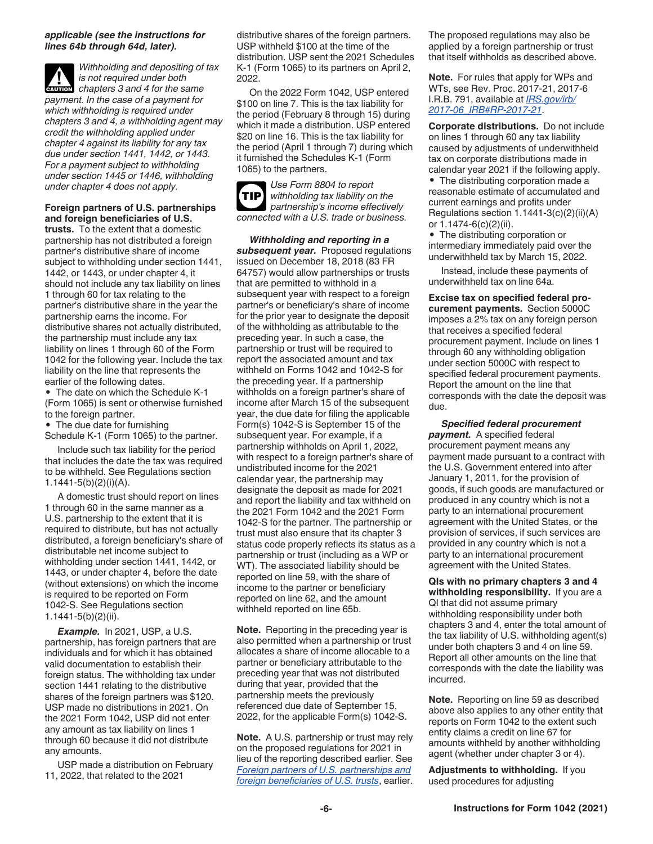#### *applicable (see the instructions for lines 64b through 64d, later).*

*Withholding and depositing of tax is not required under both*   $\frac{1}{2}$  is not required under both<br>
chapters 3 and 4 for the same *payment. In the case of a payment for which withholding is required under chapters 3 and 4, a withholding agent may credit the withholding applied under chapter 4 against its liability for any tax due under section 1441, 1442, or 1443. For a payment subject to withholding under section 1445 or 1446, withholding under chapter 4 does not apply.*

**Foreign partners of U.S. partnerships and foreign beneficiaries of U.S.** 

**trusts.** To the extent that a domestic partnership has not distributed a foreign partner's distributive share of income subject to withholding under section 1441, 1442, or 1443, or under chapter 4, it should not include any tax liability on lines 1 through 60 for tax relating to the partner's distributive share in the year the partnership earns the income. For distributive shares not actually distributed, the partnership must include any tax liability on lines 1 through 60 of the Form 1042 for the following year. Include the tax liability on the line that represents the earlier of the following dates.

• The date on which the Schedule K-1 (Form 1065) is sent or otherwise furnished to the foreign partner.

- The due date for furnishing
- Schedule K-1 (Form 1065) to the partner.

Include such tax liability for the period that includes the date the tax was required to be withheld. See Regulations section 1.1441-5(b)(2)(i)(A).

A domestic trust should report on lines 1 through 60 in the same manner as a U.S. partnership to the extent that it is required to distribute, but has not actually distributed, a foreign beneficiary's share of distributable net income subject to withholding under section 1441, 1442, or 1443, or under chapter 4, before the date (without extensions) on which the income is required to be reported on Form 1042-S. See Regulations section 1.1441-5(b)(2)(ii).

*Example.* In 2021, USP, a U.S. partnership, has foreign partners that are individuals and for which it has obtained valid documentation to establish their foreign status. The withholding tax under section 1441 relating to the distributive shares of the foreign partners was \$120. USP made no distributions in 2021. On the 2021 Form 1042, USP did not enter any amount as tax liability on lines 1 through 60 because it did not distribute any amounts.

USP made a distribution on February 11, 2022, that related to the 2021

distributive shares of the foreign partners. USP withheld \$100 at the time of the distribution. USP sent the 2021 Schedules K-1 (Form 1065) to its partners on April 2, 2022.

On the 2022 Form 1042, USP entered \$100 on line 7. This is the tax liability for the period (February 8 through 15) during which it made a distribution. USP entered \$20 on line 16. This is the tax liability for the period (April 1 through 7) during which it furnished the Schedules K-1 (Form 1065) to the partners.

*Use Form 8804 to report withholding tax liability on the partnership's income effectively connected with a U.S. trade or business.* **TIP**

*Withholding and reporting in a subsequent year.* Proposed regulations issued on December 18, 2018 (83 FR 64757) would allow partnerships or trusts that are permitted to withhold in a subsequent year with respect to a foreign partner's or beneficiary's share of income for the prior year to designate the deposit of the withholding as attributable to the preceding year. In such a case, the partnership or trust will be required to report the associated amount and tax withheld on Forms 1042 and 1042-S for the preceding year. If a partnership withholds on a foreign partner's share of income after March 15 of the subsequent year, the due date for filing the applicable Form(s) 1042-S is September 15 of the subsequent year. For example, if a partnership withholds on April 1, 2022, with respect to a foreign partner's share of undistributed income for the 2021 calendar year, the partnership may designate the deposit as made for 2021 and report the liability and tax withheld on the 2021 Form 1042 and the 2021 Form 1042-S for the partner. The partnership or trust must also ensure that its chapter 3 status code properly reflects its status as a partnership or trust (including as a WP or WT). The associated liability should be reported on line 59, with the share of income to the partner or beneficiary reported on line 62, and the amount withheld reported on line 65b.

**Note.** Reporting in the preceding year is also permitted when a partnership or trust allocates a share of income allocable to a partner or beneficiary attributable to the preceding year that was not distributed during that year, provided that the partnership meets the previously referenced due date of September 15, 2022, for the applicable Form(s) 1042-S.

**Note.** A U.S. partnership or trust may rely on the proposed regulations for 2021 in lieu of the reporting described earlier. See *Foreign partners of U.S. partnerships and foreign beneficiaries of U.S. trusts*, earlier.

The proposed regulations may also be applied by a foreign partnership or trust that itself withholds as described above.

**Note.** For rules that apply for WPs and WTs, see Rev. Proc. 2017-21, 2017-6 I.R.B. 791, available at *[IRS.gov/irb/](https://www.irs.gov/irb/2017-06_IRB#RP-2017-21) [2017-06\\_IRB#RP-2017-21](https://www.irs.gov/irb/2017-06_IRB#RP-2017-21)*.

**Corporate distributions.** Do not include on lines 1 through 60 any tax liability caused by adjustments of underwithheld tax on corporate distributions made in calendar year 2021 if the following apply.

• The distributing corporation made a reasonable estimate of accumulated and current earnings and profits under Regulations section 1.1441-3(c)(2)(ii)(A) or 1.1474-6(c)(2)(ii).

• The distributing corporation or intermediary immediately paid over the underwithheld tax by March 15, 2022.

Instead, include these payments of underwithheld tax on line 64a.

**Excise tax on specified federal procurement payments.** Section 5000C imposes a 2% tax on any foreign person that receives a specified federal procurement payment. Include on lines 1 through 60 any withholding obligation under section 5000C with respect to specified federal procurement payments. Report the amount on the line that corresponds with the date the deposit was due.

*Specified federal procurement payment.* A specified federal procurement payment means any payment made pursuant to a contract with the U.S. Government entered into after January 1, 2011, for the provision of goods, if such goods are manufactured or produced in any country which is not a party to an international procurement agreement with the United States, or the provision of services, if such services are provided in any country which is not a party to an international procurement agreement with the United States.

**QIs with no primary chapters 3 and 4 withholding responsibility.** If you are a QI that did not assume primary withholding responsibility under both chapters 3 and 4, enter the total amount of the tax liability of U.S. withholding agent(s) under both chapters 3 and 4 on line 59. Report all other amounts on the line that corresponds with the date the liability was incurred.

**Note.** Reporting on line 59 as described above also applies to any other entity that reports on Form 1042 to the extent such entity claims a credit on line 67 for amounts withheld by another withholding agent (whether under chapter 3 or 4).

**Adjustments to withholding.** If you used procedures for adjusting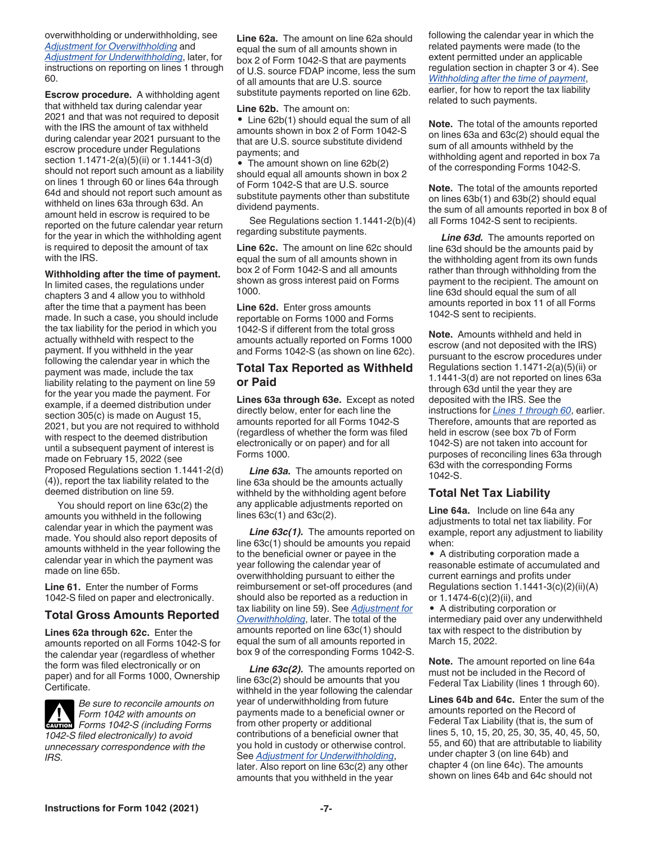overwithholding or underwithholding, see *Adjustment for Overwithholding* and *Adjustment for Underwithholding*, later, for instructions on reporting on lines 1 through 60.

**Escrow procedure.** A withholding agent that withheld tax during calendar year 2021 and that was not required to deposit with the IRS the amount of tax withheld during calendar year 2021 pursuant to the escrow procedure under Regulations section 1.1471-2(a)(5)(ii) or 1.1441-3(d) should not report such amount as a liability on lines 1 through 60 or lines 64a through 64d and should not report such amount as withheld on lines 63a through 63d. An amount held in escrow is required to be reported on the future calendar year return for the year in which the withholding agent is required to deposit the amount of tax with the IRS.

#### **Withholding after the time of payment.**

In limited cases, the regulations under chapters 3 and 4 allow you to withhold after the time that a payment has been made. In such a case, you should include the tax liability for the period in which you actually withheld with respect to the payment. If you withheld in the year following the calendar year in which the payment was made, include the tax liability relating to the payment on line 59 for the year you made the payment. For example, if a deemed distribution under section 305(c) is made on August 15, 2021, but you are not required to withhold with respect to the deemed distribution until a subsequent payment of interest is made on February 15, 2022 (see Proposed Regulations section 1.1441-2(d) (4)), report the tax liability related to the deemed distribution on line 59.

You should report on line 63c(2) the amounts you withheld in the following calendar year in which the payment was made. You should also report deposits of amounts withheld in the year following the calendar year in which the payment was made on line 65b.

**Line 61.** Enter the number of Forms 1042-S filed on paper and electronically.

#### **Total Gross Amounts Reported**

**Lines 62a through 62c.** Enter the amounts reported on all Forms 1042-S for the calendar year (regardless of whether the form was filed electronically or on paper) and for all Forms 1000, Ownership Certificate.

*Be sure to reconcile amounts on Form 1042 with amounts on*  **Form 1042 with amounts on**<br> **CAUTION** Forms 1042-S (including Forms *1042-S filed electronically) to avoid unnecessary correspondence with the IRS.*

**Line 62a.** The amount on line 62a should equal the sum of all amounts shown in box 2 of Form 1042-S that are payments of U.S. source FDAP income, less the sum of all amounts that are U.S. source substitute payments reported on line 62b.

**Line 62b.** The amount on:

• Line 62b(1) should equal the sum of all amounts shown in box 2 of Form 1042-S that are U.S. source substitute dividend payments; and

• The amount shown on line 62b(2) should equal all amounts shown in box 2 of Form 1042-S that are U.S. source substitute payments other than substitute dividend payments.

See Regulations section 1.1441-2(b)(4) regarding substitute payments.

**Line 62c.** The amount on line 62c should equal the sum of all amounts shown in box 2 of Form 1042-S and all amounts shown as gross interest paid on Forms 1000.

**Line 62d.** Enter gross amounts reportable on Forms 1000 and Forms 1042-S if different from the total gross amounts actually reported on Forms 1000 and Forms 1042-S (as shown on line 62c).

#### **Total Tax Reported as Withheld or Paid**

**Lines 63a through 63e.** Except as noted directly below, enter for each line the amounts reported for all Forms 1042-S (regardless of whether the form was filed electronically or on paper) and for all Forms 1000.

**Line 63a.** The amounts reported on line 63a should be the amounts actually withheld by the withholding agent before any applicable adjustments reported on lines 63c(1) and 63c(2).

Line 63c(1). The amounts reported on line 63c(1) should be amounts you repaid to the beneficial owner or payee in the year following the calendar year of overwithholding pursuant to either the reimbursement or set-off procedures (and should also be reported as a reduction in tax liability on line 59). See *Adjustment for Overwithholding*, later. The total of the amounts reported on line 63c(1) should equal the sum of all amounts reported in box 9 of the corresponding Forms 1042-S.

Line 63c(2). The amounts reported on line 63c(2) should be amounts that you withheld in the year following the calendar year of underwithholding from future payments made to a beneficial owner or from other property or additional contributions of a beneficial owner that you hold in custody or otherwise control. See *Adjustment for Underwithholding*, later. Also report on line 63c(2) any other amounts that you withheld in the year

following the calendar year in which the related payments were made (to the extent permitted under an applicable regulation section in chapter 3 or 4). See *Withholding after the time of payment*, earlier, for how to report the tax liability related to such payments.

**Note.** The total of the amounts reported on lines 63a and 63c(2) should equal the sum of all amounts withheld by the withholding agent and reported in box 7a of the corresponding Forms 1042-S.

**Note.** The total of the amounts reported on lines 63b(1) and 63b(2) should equal the sum of all amounts reported in box 8 of all Forms 1042-S sent to recipients.

*Line 63d.* The amounts reported on line 63d should be the amounts paid by the withholding agent from its own funds rather than through withholding from the payment to the recipient. The amount on line 63d should equal the sum of all amounts reported in box 11 of all Forms 1042-S sent to recipients.

**Note.** Amounts withheld and held in escrow (and not deposited with the IRS) pursuant to the escrow procedures under Regulations section 1.1471-2(a)(5)(ii) or 1.1441-3(d) are not reported on lines 63a through 63d until the year they are deposited with the IRS. See the instructions for *Lines 1 through 60*, earlier. Therefore, amounts that are reported as held in escrow (see box 7b of Form 1042-S) are not taken into account for purposes of reconciling lines 63a through 63d with the corresponding Forms 1042-S.

#### **Total Net Tax Liability**

**Line 64a.** Include on line 64a any adjustments to total net tax liability. For example, report any adjustment to liability when:

• A distributing corporation made a reasonable estimate of accumulated and current earnings and profits under Regulations section  $1.1441-3(c)(2)(ii)(A)$ or 1.1474-6(c)(2)(ii), and

• A distributing corporation or intermediary paid over any underwithheld tax with respect to the distribution by March 15, 2022.

**Note.** The amount reported on line 64a must not be included in the Record of Federal Tax Liability (lines 1 through 60).

**Lines 64b and 64c.** Enter the sum of the amounts reported on the Record of Federal Tax Liability (that is, the sum of lines 5, 10, 15, 20, 25, 30, 35, 40, 45, 50, 55, and 60) that are attributable to liability under chapter 3 (on line 64b) and chapter 4 (on line 64c). The amounts shown on lines 64b and 64c should not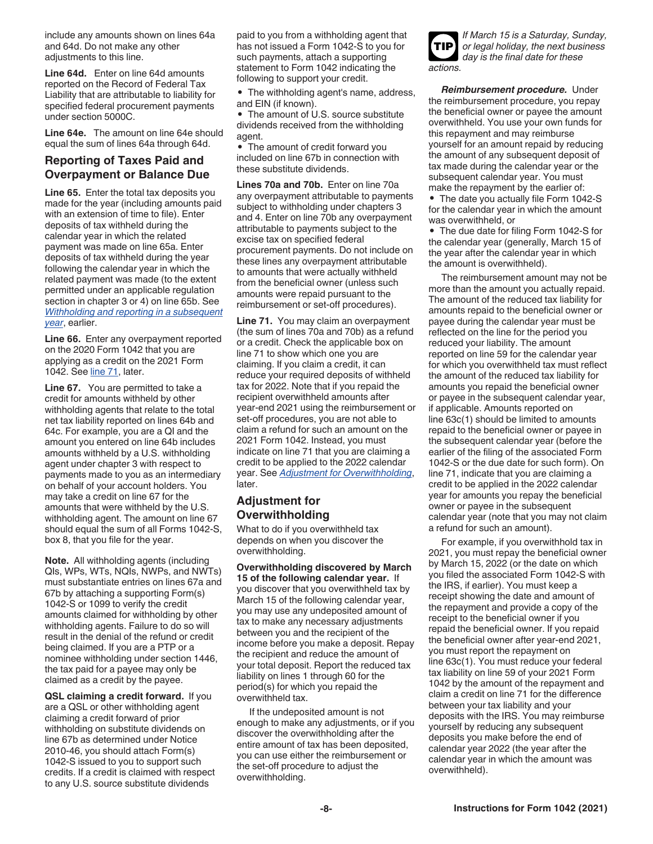include any amounts shown on lines 64a and 64d. Do not make any other adjustments to this line.

**Line 64d.** Enter on line 64d amounts reported on the Record of Federal Tax Liability that are attributable to liability for specified federal procurement payments under section 5000C.

**Line 64e.** The amount on line 64e should equal the sum of lines 64a through 64d.

## **Reporting of Taxes Paid and Overpayment or Balance Due**

**Line 65.** Enter the total tax deposits you made for the year (including amounts paid with an extension of time to file). Enter deposits of tax withheld during the calendar year in which the related payment was made on line 65a. Enter deposits of tax withheld during the year following the calendar year in which the related payment was made (to the extent permitted under an applicable regulation section in chapter 3 or 4) on line 65b. See *Withholding and reporting in a subsequent year*, earlier.

**Line 66.** Enter any overpayment reported on the 2020 Form 1042 that you are applying as a credit on the 2021 Form 1042. See line 71, later.

**Line 67.** You are permitted to take a credit for amounts withheld by other withholding agents that relate to the total net tax liability reported on lines 64b and 64c. For example, you are a QI and the amount you entered on line 64b includes amounts withheld by a U.S. withholding agent under chapter 3 with respect to payments made to you as an intermediary on behalf of your account holders. You may take a credit on line 67 for the amounts that were withheld by the U.S. withholding agent. The amount on line 67 should equal the sum of all Forms 1042-S, box 8, that you file for the year.

**Note.** All withholding agents (including QIs, WPs, WTs, NQIs, NWPs, and NWTs) must substantiate entries on lines 67a and 67b by attaching a supporting Form(s) 1042-S or 1099 to verify the credit amounts claimed for withholding by other withholding agents. Failure to do so will result in the denial of the refund or credit being claimed. If you are a PTP or a nominee withholding under section 1446, the tax paid for a payee may only be claimed as a credit by the payee.

**QSL claiming a credit forward.** If you are a QSL or other withholding agent claiming a credit forward of prior withholding on substitute dividends on line 67b as determined under Notice 2010-46, you should attach Form(s) 1042-S issued to you to support such credits. If a credit is claimed with respect to any U.S. source substitute dividends

paid to you from a withholding agent that has not issued a Form 1042-S to you for such payments, attach a supporting statement to Form 1042 indicating the following to support your credit.

• The withholding agent's name, address, and EIN (if known).

• The amount of U.S. source substitute dividends received from the withholding agent.

• The amount of credit forward you included on line 67b in connection with these substitute dividends.

**Lines 70a and 70b.** Enter on line 70a any overpayment attributable to payments subject to withholding under chapters 3 and 4. Enter on line 70b any overpayment attributable to payments subject to the excise tax on specified federal procurement payments. Do not include on these lines any overpayment attributable to amounts that were actually withheld from the beneficial owner (unless such amounts were repaid pursuant to the reimbursement or set-off procedures).

**Line 71.** You may claim an overpayment (the sum of lines 70a and 70b) as a refund or a credit. Check the applicable box on line 71 to show which one you are claiming. If you claim a credit, it can reduce your required deposits of withheld tax for 2022. Note that if you repaid the recipient overwithheld amounts after year-end 2021 using the reimbursement or set-off procedures, you are not able to claim a refund for such an amount on the 2021 Form 1042. Instead, you must indicate on line 71 that you are claiming a credit to be applied to the 2022 calendar year. See *Adjustment for Overwithholding*, later.

## **Adjustment for Overwithholding**

What to do if you overwithheld tax depends on when you discover the overwithholding.

**Overwithholding discovered by March 15 of the following calendar year.** If you discover that you overwithheld tax by March 15 of the following calendar year, you may use any undeposited amount of tax to make any necessary adjustments between you and the recipient of the income before you make a deposit. Repay the recipient and reduce the amount of your total deposit. Report the reduced tax liability on lines 1 through 60 for the period(s) for which you repaid the overwithheld tax.

If the undeposited amount is not enough to make any adjustments, or if you discover the overwithholding after the entire amount of tax has been deposited, you can use either the reimbursement or the set-off procedure to adjust the overwithholding.

*If March 15 is a Saturday, Sunday, or legal holiday, the next business day is the final date for these actions.* **TIP**

*Reimbursement procedure.* Under the reimbursement procedure, you repay the beneficial owner or payee the amount overwithheld. You use your own funds for this repayment and may reimburse yourself for an amount repaid by reducing the amount of any subsequent deposit of tax made during the calendar year or the subsequent calendar year. You must make the repayment by the earlier of:

• The date you actually file Form 1042-S for the calendar year in which the amount was overwithheld, or

• The due date for filing Form 1042-S for the calendar year (generally, March 15 of the year after the calendar year in which the amount is overwithheld).

The reimbursement amount may not be more than the amount you actually repaid. The amount of the reduced tax liability for amounts repaid to the beneficial owner or payee during the calendar year must be reflected on the line for the period you reduced your liability. The amount reported on line 59 for the calendar year for which you overwithheld tax must reflect the amount of the reduced tax liability for amounts you repaid the beneficial owner or payee in the subsequent calendar year, if applicable. Amounts reported on line 63c(1) should be limited to amounts repaid to the beneficial owner or payee in the subsequent calendar year (before the earlier of the filing of the associated Form 1042-S or the due date for such form). On line 71, indicate that you are claiming a credit to be applied in the 2022 calendar year for amounts you repay the beneficial owner or payee in the subsequent calendar year (note that you may not claim a refund for such an amount).

For example, if you overwithhold tax in 2021, you must repay the beneficial owner by March 15, 2022 (or the date on which you filed the associated Form 1042-S with the IRS, if earlier). You must keep a receipt showing the date and amount of the repayment and provide a copy of the receipt to the beneficial owner if you repaid the beneficial owner. If you repaid the beneficial owner after year-end 2021, you must report the repayment on line 63c(1). You must reduce your federal tax liability on line 59 of your 2021 Form 1042 by the amount of the repayment and claim a credit on line 71 for the difference between your tax liability and your deposits with the IRS. You may reimburse yourself by reducing any subsequent deposits you make before the end of calendar year 2022 (the year after the calendar year in which the amount was overwithheld).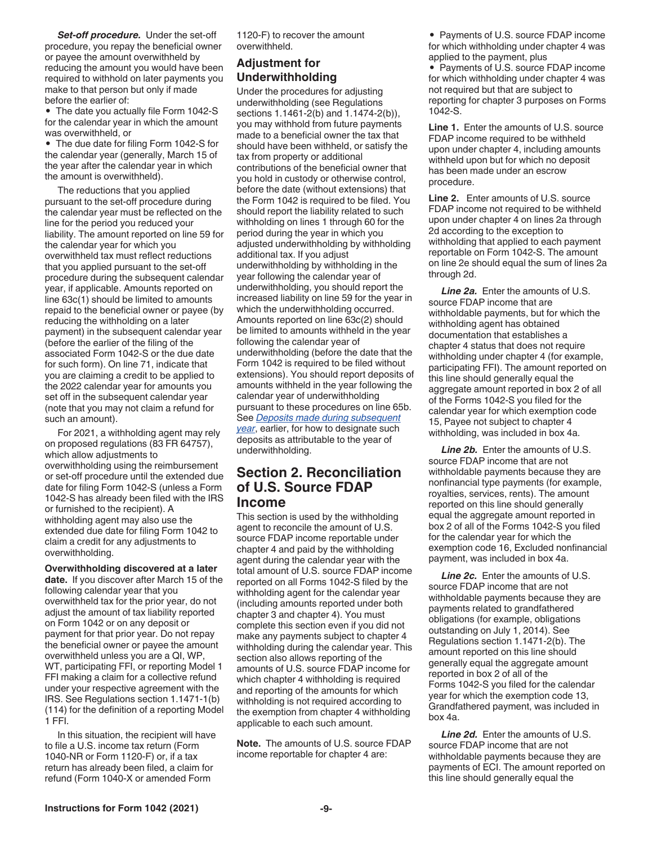*Set-off procedure.* Under the set-off procedure, you repay the beneficial owner or payee the amount overwithheld by reducing the amount you would have been required to withhold on later payments you make to that person but only if made before the earlier of:

• The date you actually file Form 1042-S for the calendar year in which the amount was overwithheld, or

• The due date for filing Form 1042-S for the calendar year (generally, March 15 of the year after the calendar year in which the amount is overwithheld).

The reductions that you applied pursuant to the set-off procedure during the calendar year must be reflected on the line for the period you reduced your liability. The amount reported on line 59 for the calendar year for which you overwithheld tax must reflect reductions that you applied pursuant to the set-off procedure during the subsequent calendar year, if applicable. Amounts reported on line 63c(1) should be limited to amounts repaid to the beneficial owner or payee (by reducing the withholding on a later payment) in the subsequent calendar year (before the earlier of the filing of the associated Form 1042-S or the due date for such form). On line 71, indicate that you are claiming a credit to be applied to the 2022 calendar year for amounts you set off in the subsequent calendar year (note that you may not claim a refund for such an amount).

For 2021, a withholding agent may rely on proposed regulations (83 FR 64757), which allow adjustments to overwithholding using the reimbursement or set-off procedure until the extended due date for filing Form 1042-S (unless a Form 1042-S has already been filed with the IRS or furnished to the recipient). A withholding agent may also use the extended due date for filing Form 1042 to claim a credit for any adjustments to overwithholding.

**Overwithholding discovered at a later date.** If you discover after March 15 of the following calendar year that you overwithheld tax for the prior year, do not adjust the amount of tax liability reported on Form 1042 or on any deposit or payment for that prior year. Do not repay the beneficial owner or payee the amount overwithheld unless you are a QI, WP, WT, participating FFI, or reporting Model 1 FFI making a claim for a collective refund under your respective agreement with the IRS. See Regulations section 1.1471-1(b) (114) for the definition of a reporting Model 1 FFI.

In this situation, the recipient will have to file a U.S. income tax return (Form 1040-NR or Form 1120-F) or, if a tax return has already been filed, a claim for refund (Form 1040-X or amended Form

1120-F) to recover the amount overwithheld.

## **Adjustment for Underwithholding**

Under the procedures for adjusting underwithholding (see Regulations sections 1.1461-2(b) and 1.1474-2(b)), you may withhold from future payments made to a beneficial owner the tax that should have been withheld, or satisfy the tax from property or additional contributions of the beneficial owner that you hold in custody or otherwise control, before the date (without extensions) that the Form 1042 is required to be filed. You should report the liability related to such withholding on lines 1 through 60 for the period during the year in which you adjusted underwithholding by withholding additional tax. If you adjust underwithholding by withholding in the year following the calendar year of underwithholding, you should report the increased liability on line 59 for the year in which the underwithholding occurred. Amounts reported on line 63c(2) should be limited to amounts withheld in the year following the calendar year of underwithholding (before the date that the Form 1042 is required to be filed without extensions). You should report deposits of amounts withheld in the year following the calendar year of underwithholding pursuant to these procedures on line 65b. See *Deposits made during subsequent year*, earlier, for how to designate such

deposits as attributable to the year of underwithholding.

## **Section 2. Reconciliation of U.S. Source FDAP Income**

This section is used by the withholding agent to reconcile the amount of U.S. source FDAP income reportable under chapter 4 and paid by the withholding agent during the calendar year with the total amount of U.S. source FDAP income reported on all Forms 1042-S filed by the withholding agent for the calendar year (including amounts reported under both chapter 3 and chapter 4). You must complete this section even if you did not make any payments subject to chapter 4 withholding during the calendar year. This section also allows reporting of the amounts of U.S. source FDAP income for which chapter 4 withholding is required and reporting of the amounts for which withholding is not required according to the exemption from chapter 4 withholding applicable to each such amount.

**Note.** The amounts of U.S. source FDAP income reportable for chapter 4 are:

• Payments of U.S. source FDAP income for which withholding under chapter 4 was applied to the payment, plus

• Payments of U.S. source FDAP income for which withholding under chapter 4 was not required but that are subject to reporting for chapter 3 purposes on Forms 1042-S.

**Line 1.** Enter the amounts of U.S. source FDAP income required to be withheld upon under chapter 4, including amounts withheld upon but for which no deposit has been made under an escrow procedure.

**Line 2.** Enter amounts of U.S. source FDAP income not required to be withheld upon under chapter 4 on lines 2a through 2d according to the exception to withholding that applied to each payment reportable on Form 1042-S. The amount on line 2e should equal the sum of lines 2a through 2d.

*Line 2a.* Enter the amounts of U.S. source FDAP income that are withholdable payments, but for which the withholding agent has obtained documentation that establishes a chapter 4 status that does not require withholding under chapter 4 (for example, participating FFI). The amount reported on this line should generally equal the aggregate amount reported in box 2 of all of the Forms 1042-S you filed for the calendar year for which exemption code 15, Payee not subject to chapter 4 withholding, was included in box 4a.

*Line 2b.* Enter the amounts of U.S. source FDAP income that are not withholdable payments because they are nonfinancial type payments (for example, royalties, services, rents). The amount reported on this line should generally equal the aggregate amount reported in box 2 of all of the Forms 1042-S you filed for the calendar year for which the exemption code 16, Excluded nonfinancial payment, was included in box 4a.

*Line 2c.* Enter the amounts of U.S. source FDAP income that are not withholdable payments because they are payments related to grandfathered obligations (for example, obligations outstanding on July 1, 2014). See Regulations section 1.1471-2(b). The amount reported on this line should generally equal the aggregate amount reported in box 2 of all of the Forms 1042-S you filed for the calendar year for which the exemption code 13, Grandfathered payment, was included in box 4a.

*Line 2d.* Enter the amounts of U.S. source FDAP income that are not withholdable payments because they are payments of ECI. The amount reported on this line should generally equal the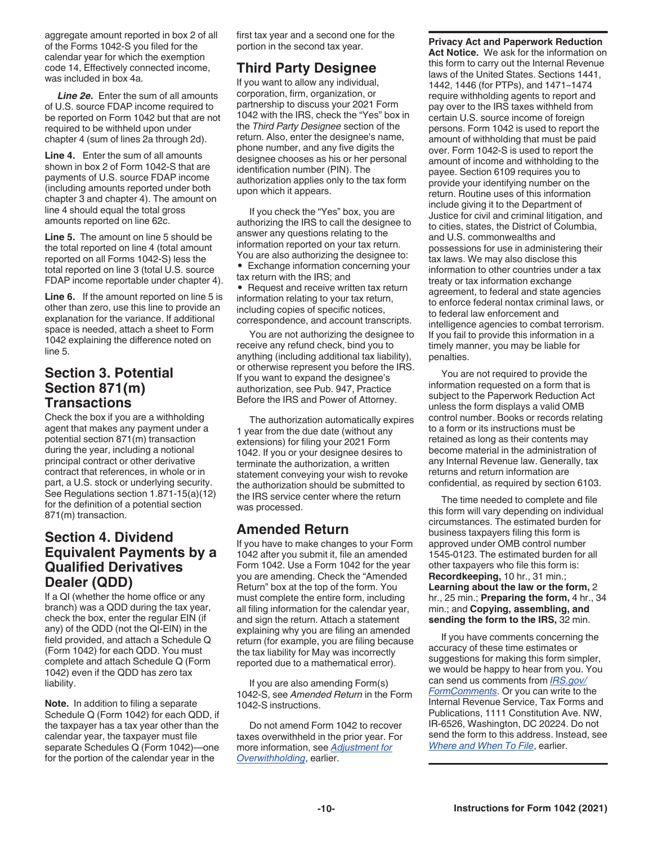aggregate amount reported in box 2 of all of the Forms 1042-S you filed for the calendar year for which the exemption code 14, Effectively connected income, was included in box 4a.

*Line 2e.* Enter the sum of all amounts of U.S. source FDAP income required to be reported on Form 1042 but that are not required to be withheld upon under chapter 4 (sum of lines 2a through 2d).

**Line 4.** Enter the sum of all amounts shown in box 2 of Form 1042-S that are payments of U.S. source FDAP income (including amounts reported under both chapter 3 and chapter 4). The amount on line 4 should equal the total gross amounts reported on line 62c.

**Line 5.** The amount on line 5 should be the total reported on line 4 (total amount reported on all Forms 1042-S) less the total reported on line 3 (total U.S. source FDAP income reportable under chapter 4).

**Line 6.** If the amount reported on line 5 is other than zero, use this line to provide an explanation for the variance. If additional space is needed, attach a sheet to Form 1042 explaining the difference noted on line 5.

## **Section 3. Potential Section 871(m) Transactions**

Check the box if you are a withholding agent that makes any payment under a potential section 871(m) transaction during the year, including a notional principal contract or other derivative contract that references, in whole or in part, a U.S. stock or underlying security. See Regulations section 1.871-15(a)(12) for the definition of a potential section 871(m) transaction.

## **Section 4. Dividend Equivalent Payments by a Qualified Derivatives Dealer (QDD)**

If a QI (whether the home office or any branch) was a QDD during the tax year, check the box, enter the regular EIN (if any) of the QDD (not the QI-EIN) in the field provided, and attach a Schedule Q (Form 1042) for each QDD. You must complete and attach Schedule Q (Form 1042) even if the QDD has zero tax liability.

**Note.** In addition to filing a separate Schedule Q (Form 1042) for each QDD, if the taxpayer has a tax year other than the calendar year, the taxpayer must file separate Schedules Q (Form 1042)—one for the portion of the calendar year in the

first tax year and a second one for the portion in the second tax year.

## **Third Party Designee**

If you want to allow any individual, corporation, firm, organization, or partnership to discuss your 2021 Form 1042 with the IRS, check the "Yes" box in the *Third Party Designee* section of the return. Also, enter the designee's name, phone number, and any five digits the designee chooses as his or her personal identification number (PIN). The authorization applies only to the tax form upon which it appears.

If you check the "Yes" box, you are authorizing the IRS to call the designee to answer any questions relating to the information reported on your tax return. You are also authorizing the designee to:

• Exchange information concerning your tax return with the IRS; and

• Request and receive written tax return information relating to your tax return, including copies of specific notices, correspondence, and account transcripts.

You are not authorizing the designee to receive any refund check, bind you to anything (including additional tax liability), or otherwise represent you before the IRS. If you want to expand the designee's authorization, see Pub. 947, Practice Before the IRS and Power of Attorney.

The authorization automatically expires 1 year from the due date (without any extensions) for filing your 2021 Form 1042. If you or your designee desires to terminate the authorization, a written statement conveying your wish to revoke the authorization should be submitted to the IRS service center where the return was processed.

## **Amended Return**

If you have to make changes to your Form 1042 after you submit it, file an amended Form 1042. Use a Form 1042 for the year you are amending. Check the "Amended Return" box at the top of the form. You must complete the entire form, including all filing information for the calendar year, and sign the return. Attach a statement explaining why you are filing an amended return (for example, you are filing because the tax liability for May was incorrectly reported due to a mathematical error).

If you are also amending Form(s) 1042-S, see *Amended Return* in the Form 1042-S instructions.

Do not amend Form 1042 to recover taxes overwithheld in the prior year. For more information, see *Adjustment for Overwithholding*, earlier.

## **Privacy Act and Paperwork Reduction**

**Act Notice.** We ask for the information on this form to carry out the Internal Revenue laws of the United States. Sections 1441, 1442, 1446 (for PTPs), and 1471–1474 require withholding agents to report and pay over to the IRS taxes withheld from certain U.S. source income of foreign persons. Form 1042 is used to report the amount of withholding that must be paid over. Form 1042-S is used to report the amount of income and withholding to the payee. Section 6109 requires you to provide your identifying number on the return. Routine uses of this information include giving it to the Department of Justice for civil and criminal litigation, and to cities, states, the District of Columbia, and U.S. commonwealths and possessions for use in administering their tax laws. We may also disclose this information to other countries under a tax treaty or tax information exchange agreement, to federal and state agencies to enforce federal nontax criminal laws, or to federal law enforcement and intelligence agencies to combat terrorism. If you fail to provide this information in a timely manner, you may be liable for penalties.

You are not required to provide the information requested on a form that is subject to the Paperwork Reduction Act unless the form displays a valid OMB control number. Books or records relating to a form or its instructions must be retained as long as their contents may become material in the administration of any Internal Revenue law. Generally, tax returns and return information are confidential, as required by section 6103.

The time needed to complete and file this form will vary depending on individual circumstances. The estimated burden for business taxpayers filing this form is approved under OMB control number 1545-0123. The estimated burden for all other taxpayers who file this form is: **Recordkeeping,** 10 hr., 31 min.; **Learning about the law or the form,** 2 hr., 25 min.; **Preparing the form,** 4 hr., 34 min.; and **Copying, assembling, and sending the form to the IRS,** 32 min.

If you have comments concerning the accuracy of these time estimates or suggestions for making this form simpler, we would be happy to hear from you. You can send us comments from *[IRS.gov/](https://www.irs.gov/formcomments) [FormComments](https://www.irs.gov/formcomments)*. Or you can write to the Internal Revenue Service, Tax Forms and Publications, 1111 Constitution Ave. NW, IR-6526, Washington, DC 20224. Do not send the form to this address. Instead, see *Where and When To File*, earlier.